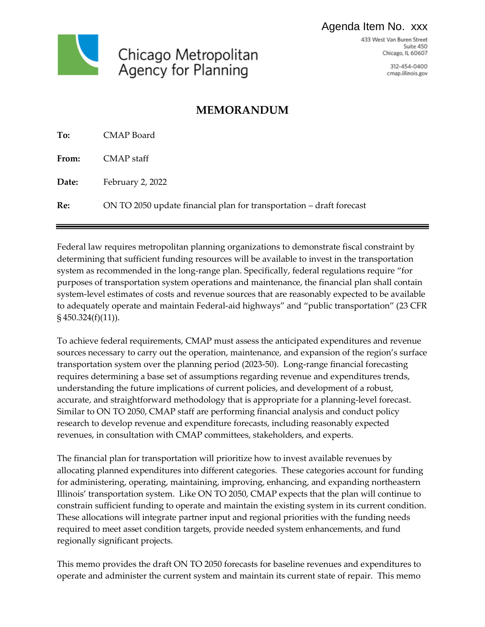## Agenda Item No. xxx



433 West Van Buren Street Suite 450 Chicago, IL 60607

> 312-454-0400 cmap.illinois.gov

# **MEMORANDUM**

| To:   | <b>CMAP</b> Board                                                    |
|-------|----------------------------------------------------------------------|
| From: | CMAP staff                                                           |
| Date: | February 2, 2022                                                     |
| Re:   | ON TO 2050 update financial plan for transportation – draft forecast |

Federal law requires metropolitan planning organizations to demonstrate fiscal constraint by determining that sufficient funding resources will be available to invest in the transportation system as recommended in the long-range plan. Specifically, federal regulations require "for purposes of transportation system operations and maintenance, the financial plan shall contain system-level estimates of costs and revenue sources that are reasonably expected to be available to adequately operate and maintain Federal-aid highways" and "public transportation" (23 CFR § 450.324(f)(11)).

To achieve federal requirements, CMAP must assess the anticipated expenditures and revenue sources necessary to carry out the operation, maintenance, and expansion of the region's surface transportation system over the planning period (2023-50). Long-range financial forecasting requires determining a base set of assumptions regarding revenue and expenditures trends, understanding the future implications of current policies, and development of a robust, accurate, and straightforward methodology that is appropriate for a planning-level forecast. Similar to ON TO 2050, CMAP staff are performing financial analysis and conduct policy research to develop revenue and expenditure forecasts, including reasonably expected revenues, in consultation with CMAP committees, stakeholders, and experts.

The financial plan for transportation will prioritize how to invest available revenues by allocating planned expenditures into different categories. These categories account for funding for administering, operating, maintaining, improving, enhancing, and expanding northeastern Illinois' transportation system. Like ON TO 2050, CMAP expects that the plan will continue to constrain sufficient funding to operate and maintain the existing system in its current condition. These allocations will integrate partner input and regional priorities with the funding needs required to meet asset condition targets, provide needed system enhancements, and fund regionally significant projects.

This memo provides the draft ON TO 2050 forecasts for baseline revenues and expenditures to operate and administer the current system and maintain its current state of repair. This memo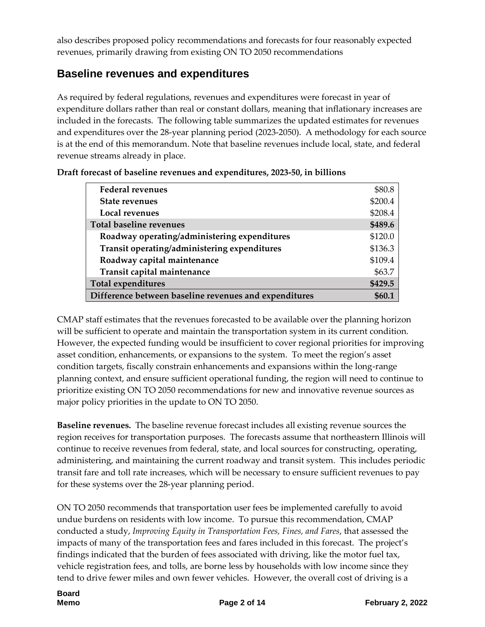also describes proposed policy recommendations and forecasts for four reasonably expected revenues, primarily drawing from existing ON TO 2050 recommendations

## **Baseline revenues and expenditures**

As required by federal regulations, revenues and expenditures were forecast in year of expenditure dollars rather than real or constant dollars, meaning that inflationary increases are included in the forecasts. The following table summarizes the updated estimates for revenues and expenditures over the 28-year planning period (2023-2050). A methodology for each source is at the end of this memorandum. Note that baseline revenues include local, state, and federal revenue streams already in place.

| <b>Federal revenues</b>                               | \$80.8  |
|-------------------------------------------------------|---------|
| <b>State revenues</b>                                 | \$200.4 |
| Local revenues                                        | \$208.4 |
| <b>Total baseline revenues</b>                        | \$489.6 |
| Roadway operating/administering expenditures          | \$120.0 |
| Transit operating/administering expenditures          | \$136.3 |
| Roadway capital maintenance                           | \$109.4 |
| Transit capital maintenance                           | \$63.7  |
| <b>Total expenditures</b>                             | \$429.5 |
| Difference between baseline revenues and expenditures |         |

| Draft forecast of baseline revenues and expenditures, 2023-50, in billions |  |
|----------------------------------------------------------------------------|--|
|----------------------------------------------------------------------------|--|

CMAP staff estimates that the revenues forecasted to be available over the planning horizon will be sufficient to operate and maintain the transportation system in its current condition. However, the expected funding would be insufficient to cover regional priorities for improving asset condition, enhancements, or expansions to the system. To meet the region's asset condition targets, fiscally constrain enhancements and expansions within the long-range planning context, and ensure sufficient operational funding, the region will need to continue to prioritize existing ON TO 2050 recommendations for new and innovative revenue sources as major policy priorities in the update to ON TO 2050.

**Baseline revenues.** The baseline revenue forecast includes all existing revenue sources the region receives for transportation purposes. The forecasts assume that northeastern Illinois will continue to receive revenues from federal, state, and local sources for constructing, operating, administering, and maintaining the current roadway and transit system. This includes periodic transit fare and toll rate increases, which will be necessary to ensure sufficient revenues to pay for these systems over the 28-year planning period.

ON TO 2050 recommends that transportation user fees be implemented carefully to avoid undue burdens on residents with low income. To pursue this recommendation, CMAP conducted a study, *Improving Equity in Transportation Fees, Fines, and Fares*, that assessed the impacts of many of the transportation fees and fares included in this forecast. The project's findings indicated that the burden of fees associated with driving, like the motor fuel tax, vehicle registration fees, and tolls, are borne less by households with low income since they tend to drive fewer miles and own fewer vehicles. However, the overall cost of driving is a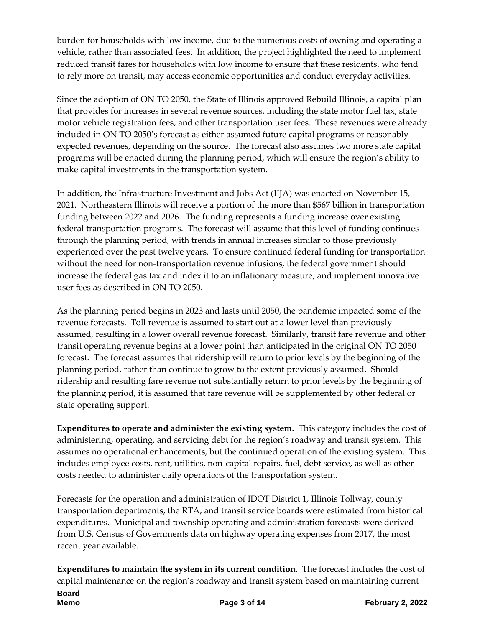burden for households with low income, due to the numerous costs of owning and operating a vehicle, rather than associated fees. In addition, the project highlighted the need to implement reduced transit fares for households with low income to ensure that these residents, who tend to rely more on transit, may access economic opportunities and conduct everyday activities.

Since the adoption of ON TO 2050, the State of Illinois approved Rebuild Illinois, a capital plan that provides for increases in several revenue sources, including the state motor fuel tax, state motor vehicle registration fees, and other transportation user fees. These revenues were already included in ON TO 2050's forecast as either assumed future capital programs or reasonably expected revenues, depending on the source. The forecast also assumes two more state capital programs will be enacted during the planning period, which will ensure the region's ability to make capital investments in the transportation system.

In addition, the Infrastructure Investment and Jobs Act (IIJA) was enacted on November 15, 2021. Northeastern Illinois will receive a portion of the more than \$567 billion in transportation funding between 2022 and 2026. The funding represents a funding increase over existing federal transportation programs. The forecast will assume that this level of funding continues through the planning period, with trends in annual increases similar to those previously experienced over the past twelve years. To ensure continued federal funding for transportation without the need for non-transportation revenue infusions, the federal government should increase the federal gas tax and index it to an inflationary measure, and implement innovative user fees as described in ON TO 2050.

As the planning period begins in 2023 and lasts until 2050, the pandemic impacted some of the revenue forecasts. Toll revenue is assumed to start out at a lower level than previously assumed, resulting in a lower overall revenue forecast. Similarly, transit fare revenue and other transit operating revenue begins at a lower point than anticipated in the original ON TO 2050 forecast. The forecast assumes that ridership will return to prior levels by the beginning of the planning period, rather than continue to grow to the extent previously assumed. Should ridership and resulting fare revenue not substantially return to prior levels by the beginning of the planning period, it is assumed that fare revenue will be supplemented by other federal or state operating support.

**Expenditures to operate and administer the existing system.** This category includes the cost of administering, operating, and servicing debt for the region's roadway and transit system. This assumes no operational enhancements, but the continued operation of the existing system. This includes employee costs, rent, utilities, non-capital repairs, fuel, debt service, as well as other costs needed to administer daily operations of the transportation system.

Forecasts for the operation and administration of IDOT District 1, Illinois Tollway, county transportation departments, the RTA, and transit service boards were estimated from historical expenditures. Municipal and township operating and administration forecasts were derived from U.S. Census of Governments data on highway operating expenses from 2017, the most recent year available.

**Expenditures to maintain the system in its current condition.** The forecast includes the cost of capital maintenance on the region's roadway and transit system based on maintaining current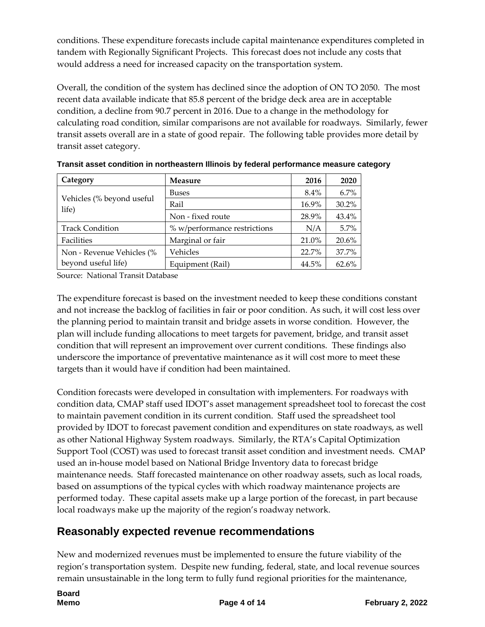conditions. These expenditure forecasts include capital maintenance expenditures completed in tandem with Regionally Significant Projects. This forecast does not include any costs that would address a need for increased capacity on the transportation system.

Overall, the condition of the system has declined since the adoption of ON TO 2050. The most recent data available indicate that 85.8 percent of the bridge deck area are in acceptable condition, a decline from 90.7 percent in 2016. Due to a change in the methodology for calculating road condition, similar comparisons are not available for roadways. Similarly, fewer transit assets overall are in a state of good repair. The following table provides more detail by transit asset category.

| Category                           | Measure                      | 2016    | 2020  |
|------------------------------------|------------------------------|---------|-------|
|                                    | <b>Buses</b>                 | $8.4\%$ | 6.7%  |
| Vehicles (% beyond useful<br>life) | Rail                         | 16.9%   | 30.2% |
|                                    | Non - fixed route            | 28.9%   | 43.4% |
| <b>Track Condition</b>             | % w/performance restrictions | N/A     | 5.7%  |
| Facilities                         | Marginal or fair             | 21.0%   | 20.6% |
| Non - Revenue Vehicles (%          | Vehicles                     | 22.7%   | 37.7% |
| beyond useful life)                | Equipment (Rail)             | 44.5%   | 62.6% |

**Transit asset condition in northeastern Illinois by federal performance measure category**

Source: National Transit Database

The expenditure forecast is based on the investment needed to keep these conditions constant and not increase the backlog of facilities in fair or poor condition. As such, it will cost less over the planning period to maintain transit and bridge assets in worse condition. However, the plan will include funding allocations to meet targets for pavement, bridge, and transit asset condition that will represent an improvement over current conditions. These findings also underscore the importance of preventative maintenance as it will cost more to meet these targets than it would have if condition had been maintained.

Condition forecasts were developed in consultation with implementers. For roadways with condition data, CMAP staff used IDOT's asset management spreadsheet tool to forecast the cost to maintain pavement condition in its current condition. Staff used the spreadsheet tool provided by IDOT to forecast pavement condition and expenditures on state roadways, as well as other National Highway System roadways. Similarly, the RTA's Capital Optimization Support Tool (COST) was used to forecast transit asset condition and investment needs. CMAP used an in-house model based on National Bridge Inventory data to forecast bridge maintenance needs. Staff forecasted maintenance on other roadway assets, such as local roads, based on assumptions of the typical cycles with which roadway maintenance projects are performed today. These capital assets make up a large portion of the forecast, in part because local roadways make up the majority of the region's roadway network.

# **Reasonably expected revenue recommendations**

New and modernized revenues must be implemented to ensure the future viability of the region's transportation system. Despite new funding, federal, state, and local revenue sources remain unsustainable in the long term to fully fund regional priorities for the maintenance,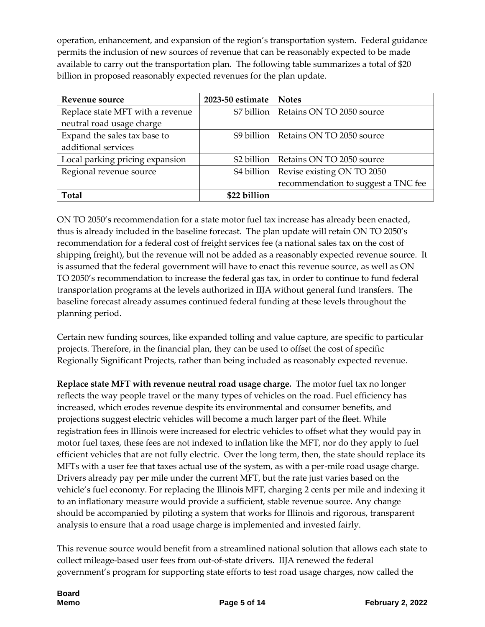operation, enhancement, and expansion of the region's transportation system. Federal guidance permits the inclusion of new sources of revenue that can be reasonably expected to be made available to carry out the transportation plan. The following table summarizes a total of \$20 billion in proposed reasonably expected revenues for the plan update.

| Revenue source                   | 2023-50 estimate | <b>Notes</b>                        |
|----------------------------------|------------------|-------------------------------------|
| Replace state MFT with a revenue | \$7 billion      | Retains ON TO 2050 source           |
| neutral road usage charge        |                  |                                     |
| Expand the sales tax base to     | \$9 billion      | Retains ON TO 2050 source           |
| additional services              |                  |                                     |
| Local parking pricing expansion  | \$2 billion      | Retains ON TO 2050 source           |
| Regional revenue source          | \$4 billion      | Revise existing ON TO 2050          |
|                                  |                  | recommendation to suggest a TNC fee |
| Total                            | \$22 billion     |                                     |

ON TO 2050's recommendation for a state motor fuel tax increase has already been enacted, thus is already included in the baseline forecast. The plan update will retain ON TO 2050's recommendation for a federal cost of freight services fee (a national sales tax on the cost of shipping freight), but the revenue will not be added as a reasonably expected revenue source. It is assumed that the federal government will have to enact this revenue source, as well as ON TO 2050's recommendation to increase the federal gas tax, in order to continue to fund federal transportation programs at the levels authorized in IIJA without general fund transfers. The baseline forecast already assumes continued federal funding at these levels throughout the planning period.

Certain new funding sources, like expanded tolling and value capture, are specific to particular projects. Therefore, in the financial plan, they can be used to offset the cost of specific Regionally Significant Projects, rather than being included as reasonably expected revenue.

**Replace state MFT with revenue neutral road usage charge.** The motor fuel tax no longer reflects the way people travel or the many types of vehicles on the road. Fuel efficiency has increased, which erodes revenue despite its environmental and consumer benefits, and projections suggest electric vehicles will become a much larger part of the fleet. While registration fees in Illinois were increased for electric vehicles to offset what they would pay in motor fuel taxes, these fees are not indexed to inflation like the MFT, nor do they apply to fuel efficient vehicles that are not fully electric. Over the long term, then, the state should replace its MFTs with a user fee that taxes actual use of the system, as with a per-mile road usage charge. Drivers already pay per mile under the current MFT, but the rate just varies based on the vehicle's fuel economy. For replacing the Illinois MFT, charging 2 cents per mile and indexing it to an inflationary measure would provide a sufficient, stable revenue source. Any change should be accompanied by piloting a system that works for Illinois and rigorous, transparent analysis to ensure that a road usage charge is implemented and invested fairly.

This revenue source would benefit from a streamlined national solution that allows each state to collect mileage-based user fees from out-of-state drivers. IIJA renewed the federal government's program for supporting state efforts to test road usage charges, now called the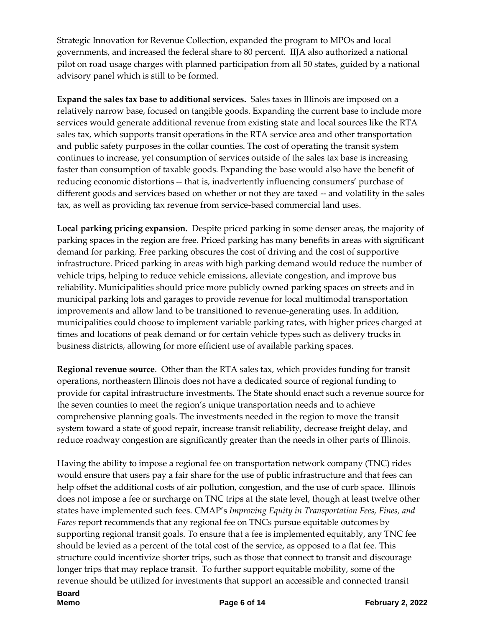Strategic Innovation for Revenue Collection, expanded the program to MPOs and local governments, and increased the federal share to 80 percent. IIJA also authorized a national pilot on road usage charges with planned participation from all 50 states, guided by a national advisory panel which is still to be formed.

**Expand the sales tax base to additional services.** Sales taxes in Illinois are imposed on a relatively narrow base, focused on tangible goods. Expanding the current base to include more services would generate additional revenue from existing state and local sources like the RTA sales tax, which supports transit operations in the RTA service area and other transportation and public safety purposes in the collar counties. The cost of operating the transit system continues to increase, yet consumption of services outside of the sales tax base is increasing faster than consumption of taxable goods. Expanding the base would also have the benefit of reducing economic distortions -- that is, inadvertently influencing consumers' purchase of different goods and services based on whether or not they are taxed -- and volatility in the sales tax, as well as providing tax revenue from service-based commercial land uses.

**Local parking pricing expansion.** Despite priced parking in some denser areas, the majority of parking spaces in the region are free. Priced parking has many benefits in areas with significant demand for parking. Free parking obscures the cost of driving and the cost of supportive infrastructure. Priced parking in areas with high parking demand would reduce the number of vehicle trips, helping to reduce vehicle emissions, alleviate congestion, and improve bus reliability. Municipalities should price more publicly owned parking spaces on streets and in municipal parking lots and garages to provide revenue for local multimodal transportation improvements and allow land to be transitioned to revenue-generating uses. In addition, municipalities could choose to implement variable parking rates, with higher prices charged at times and locations of peak demand or for certain vehicle types such as delivery trucks in business districts, allowing for more efficient use of available parking spaces.

**Regional revenue source**. Other than the RTA sales tax, which provides funding for transit operations, northeastern Illinois does not have a dedicated source of regional funding to provide for capital infrastructure investments. The State should enact such a revenue source for the seven counties to meet the region's unique transportation needs and to achieve comprehensive planning goals. The investments needed in the region to move the transit system toward a state of good repair, increase transit reliability, decrease freight delay, and reduce roadway congestion are significantly greater than the needs in other parts of Illinois.

Having the ability to impose a regional fee on transportation network company (TNC) rides would ensure that users pay a fair share for the use of public infrastructure and that fees can help offset the additional costs of air pollution, congestion, and the use of curb space. Illinois does not impose a fee or surcharge on TNC trips at the state level, though at least twelve other states have implemented such fees. CMAP's *Improving Equity in Transportation Fees, Fines, and Fares* report recommends that any regional fee on TNCs pursue equitable outcomes by supporting regional transit goals. To ensure that a fee is implemented equitably, any TNC fee should be levied as a percent of the total cost of the service, as opposed to a flat fee. This structure could incentivize shorter trips, such as those that connect to transit and discourage longer trips that may replace transit. To further support equitable mobility, some of the revenue should be utilized for investments that support an accessible and connected transit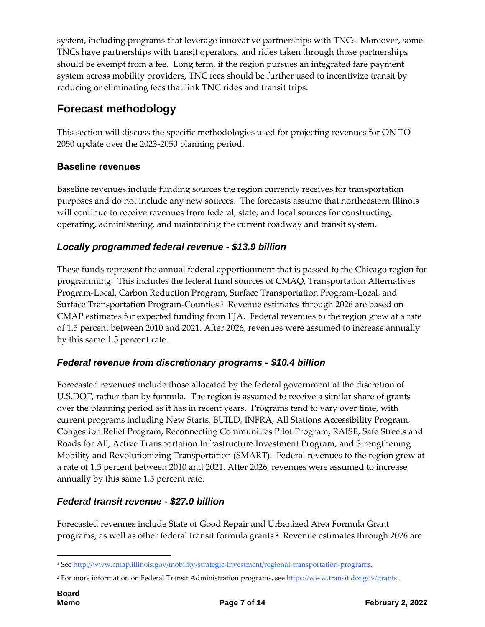system, including programs that leverage innovative partnerships with TNCs. Moreover, some TNCs have partnerships with transit operators, and rides taken through those partnerships should be exempt from a fee. Long term, if the region pursues an integrated fare payment system across mobility providers, TNC fees should be further used to incentivize transit by reducing or eliminating fees that link TNC rides and transit trips.

# **Forecast methodology**

This section will discuss the specific methodologies used for projecting revenues for ON TO 2050 update over the 2023-2050 planning period.

## **Baseline revenues**

Baseline revenues include funding sources the region currently receives for transportation purposes and do not include any new sources. The forecasts assume that northeastern Illinois will continue to receive revenues from federal, state, and local sources for constructing, operating, administering, and maintaining the current roadway and transit system.

## *Locally programmed federal revenue - \$13.9 billion*

These funds represent the annual federal apportionment that is passed to the Chicago region for programming. This includes the federal fund sources of CMAQ, Transportation Alternatives Program-Local, Carbon Reduction Program, Surface Transportation Program-Local, and Surface Transportation Program-Counties.<sup>1</sup> Revenue estimates through 2026 are based on CMAP estimates for expected funding from IIJA. Federal revenues to the region grew at a rate of 1.5 percent between 2010 and 2021. After 2026, revenues were assumed to increase annually by this same 1.5 percent rate.

## *Federal revenue from discretionary programs - \$10.4 billion*

Forecasted revenues include those allocated by the federal government at the discretion of U.S.DOT, rather than by formula. The region is assumed to receive a similar share of grants over the planning period as it has in recent years. Programs tend to vary over time, with current programs including New Starts, BUILD, INFRA, All Stations Accessibility Program, Congestion Relief Program, Reconnecting Communities Pilot Program, RAISE, Safe Streets and Roads for All, Active Transportation Infrastructure Investment Program, and Strengthening Mobility and Revolutionizing Transportation (SMART). Federal revenues to the region grew at a rate of 1.5 percent between 2010 and 2021. After 2026, revenues were assumed to increase annually by this same 1.5 percent rate.

## *Federal transit revenue - \$27.0 billion*

Forecasted revenues include State of Good Repair and Urbanized Area Formula Grant programs, as well as other federal transit formula grants.<sup>2</sup> Revenue estimates through 2026 are

1

<sup>1</sup> Se[e http://www.cmap.illinois.gov/mobility/strategic-investment/regional-transportation-programs.](http://www.cmap.illinois.gov/mobility/strategic-investment/regional-transportation-programs)

<sup>2</sup> For more information on Federal Transit Administration programs, see [https://www.transit.dot.gov/grants.](https://www.transit.dot.gov/grants)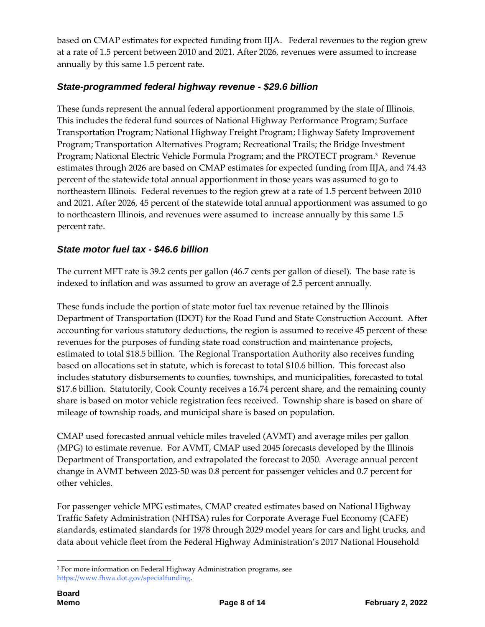based on CMAP estimates for expected funding from IIJA. Federal revenues to the region grew at a rate of 1.5 percent between 2010 and 2021. After 2026, revenues were assumed to increase annually by this same 1.5 percent rate.

#### *State-programmed federal highway revenue - \$29.6 billion*

These funds represent the annual federal apportionment programmed by the state of Illinois. This includes the federal fund sources of National Highway Performance Program; Surface Transportation Program; National Highway Freight Program; Highway Safety Improvement Program; Transportation Alternatives Program; Recreational Trails; the Bridge Investment Program; National Electric Vehicle Formula Program; and the PROTECT program. 3 Revenue estimates through 2026 are based on CMAP estimates for expected funding from IIJA, and 74.43 percent of the statewide total annual apportionment in those years was assumed to go to northeastern Illinois. Federal revenues to the region grew at a rate of 1.5 percent between 2010 and 2021. After 2026, 45 percent of the statewide total annual apportionment was assumed to go to northeastern Illinois, and revenues were assumed to increase annually by this same 1.5 percent rate.

#### *State motor fuel tax - \$46.6 billion*

The current MFT rate is 39.2 cents per gallon (46.7 cents per gallon of diesel). The base rate is indexed to inflation and was assumed to grow an average of 2.5 percent annually.

These funds include the portion of state motor fuel tax revenue retained by the Illinois Department of Transportation (IDOT) for the Road Fund and State Construction Account. After accounting for various statutory deductions, the region is assumed to receive 45 percent of these revenues for the purposes of funding state road construction and maintenance projects, estimated to total \$18.5 billion. The Regional Transportation Authority also receives funding based on allocations set in statute, which is forecast to total \$10.6 billion. This forecast also includes statutory disbursements to counties, townships, and municipalities, forecasted to total \$17.6 billion. Statutorily, Cook County receives a 16.74 percent share, and the remaining county share is based on motor vehicle registration fees received. Township share is based on share of mileage of township roads, and municipal share is based on population.

CMAP used forecasted annual vehicle miles traveled (AVMT) and average miles per gallon (MPG) to estimate revenue. For AVMT, CMAP used 2045 forecasts developed by the Illinois Department of Transportation, and extrapolated the forecast to 2050. Average annual percent change in AVMT between 2023-50 was 0.8 percent for passenger vehicles and 0.7 percent for other vehicles.

For passenger vehicle MPG estimates, CMAP created estimates based on National Highway Traffic Safety Administration (NHTSA) rules for Corporate Average Fuel Economy (CAFE) standards, estimated standards for 1978 through 2029 model years for cars and light trucks, and data about vehicle fleet from the Federal Highway Administration's 2017 National Household

<sup>1</sup> <sup>3</sup> For more information on Federal Highway Administration programs, see [https://www.fhwa.dot.gov/specialfunding.](https://www.fhwa.dot.gov/specialfunding)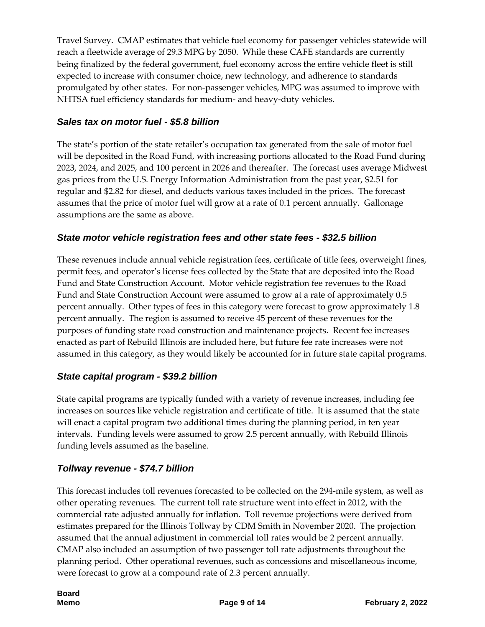Travel Survey. CMAP estimates that vehicle fuel economy for passenger vehicles statewide will reach a fleetwide average of 29.3 MPG by 2050. While these CAFE standards are currently being finalized by the federal government, fuel economy across the entire vehicle fleet is still expected to increase with consumer choice, new technology, and adherence to standards promulgated by other states. For non-passenger vehicles, MPG was assumed to improve with NHTSA fuel efficiency standards for medium- and heavy-duty vehicles.

## *Sales tax on motor fuel - \$5.8 billion*

The state's portion of the state retailer's occupation tax generated from the sale of motor fuel will be deposited in the Road Fund, with increasing portions allocated to the Road Fund during 2023, 2024, and 2025, and 100 percent in 2026 and thereafter. The forecast uses average Midwest gas prices from the U.S. Energy Information Administration from the past year, \$2.51 for regular and \$2.82 for diesel, and deducts various taxes included in the prices. The forecast assumes that the price of motor fuel will grow at a rate of 0.1 percent annually. Gallonage assumptions are the same as above.

#### *State motor vehicle registration fees and other state fees - \$32.5 billion*

These revenues include annual vehicle registration fees, certificate of title fees, overweight fines, permit fees, and operator's license fees collected by the State that are deposited into the Road Fund and State Construction Account. Motor vehicle registration fee revenues to the Road Fund and State Construction Account were assumed to grow at a rate of approximately 0.5 percent annually. Other types of fees in this category were forecast to grow approximately 1.8 percent annually. The region is assumed to receive 45 percent of these revenues for the purposes of funding state road construction and maintenance projects. Recent fee increases enacted as part of Rebuild Illinois are included here, but future fee rate increases were not assumed in this category, as they would likely be accounted for in future state capital programs.

## *State capital program - \$39.2 billion*

State capital programs are typically funded with a variety of revenue increases, including fee increases on sources like vehicle registration and certificate of title. It is assumed that the state will enact a capital program two additional times during the planning period, in ten year intervals. Funding levels were assumed to grow 2.5 percent annually, with Rebuild Illinois funding levels assumed as the baseline.

## *Tollway revenue - \$74.7 billion*

This forecast includes toll revenues forecasted to be collected on the 294-mile system, as well as other operating revenues. The current toll rate structure went into effect in 2012, with the commercial rate adjusted annually for inflation. Toll revenue projections were derived from estimates prepared for the Illinois Tollway by CDM Smith in November 2020. The projection assumed that the annual adjustment in commercial toll rates would be 2 percent annually. CMAP also included an assumption of two passenger toll rate adjustments throughout the planning period. Other operational revenues, such as concessions and miscellaneous income, were forecast to grow at a compound rate of 2.3 percent annually.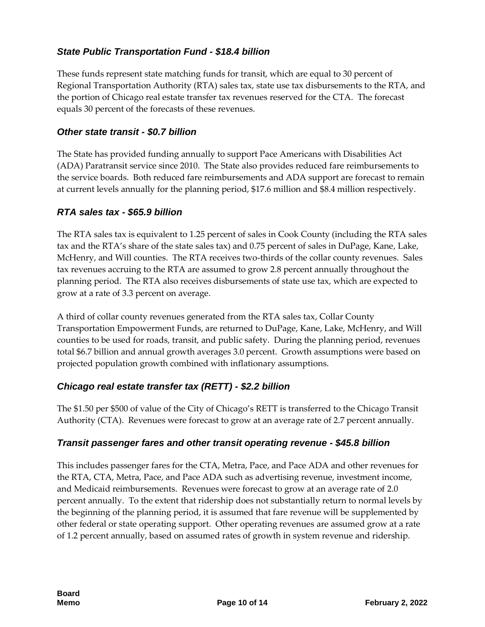## *State Public Transportation Fund - \$18.4 billion*

These funds represent state matching funds for transit, which are equal to 30 percent of Regional Transportation Authority (RTA) sales tax, state use tax disbursements to the RTA, and the portion of Chicago real estate transfer tax revenues reserved for the CTA. The forecast equals 30 percent of the forecasts of these revenues.

#### *Other state transit - \$0.7 billion*

The State has provided funding annually to support Pace Americans with Disabilities Act (ADA) Paratransit service since 2010. The State also provides reduced fare reimbursements to the service boards. Both reduced fare reimbursements and ADA support are forecast to remain at current levels annually for the planning period, \$17.6 million and \$8.4 million respectively.

## *RTA sales tax - \$65.9 billion*

The RTA sales tax is equivalent to 1.25 percent of sales in Cook County (including the RTA sales tax and the RTA's share of the state sales tax) and 0.75 percent of sales in DuPage, Kane, Lake, McHenry, and Will counties. The RTA receives two-thirds of the collar county revenues. Sales tax revenues accruing to the RTA are assumed to grow 2.8 percent annually throughout the planning period. The RTA also receives disbursements of state use tax, which are expected to grow at a rate of 3.3 percent on average.

A third of collar county revenues generated from the RTA sales tax, Collar County Transportation Empowerment Funds, are returned to DuPage, Kane, Lake, McHenry, and Will counties to be used for roads, transit, and public safety. During the planning period, revenues total \$6.7 billion and annual growth averages 3.0 percent. Growth assumptions were based on projected population growth combined with inflationary assumptions.

## *Chicago real estate transfer tax (RETT) - \$2.2 billion*

The \$1.50 per \$500 of value of the City of Chicago's RETT is transferred to the Chicago Transit Authority (CTA). Revenues were forecast to grow at an average rate of 2.7 percent annually.

#### *Transit passenger fares and other transit operating revenue - \$45.8 billion*

This includes passenger fares for the CTA, Metra, Pace, and Pace ADA and other revenues for the RTA, CTA, Metra, Pace, and Pace ADA such as advertising revenue, investment income, and Medicaid reimbursements. Revenues were forecast to grow at an average rate of 2.0 percent annually. To the extent that ridership does not substantially return to normal levels by the beginning of the planning period, it is assumed that fare revenue will be supplemented by other federal or state operating support. Other operating revenues are assumed grow at a rate of 1.2 percent annually, based on assumed rates of growth in system revenue and ridership.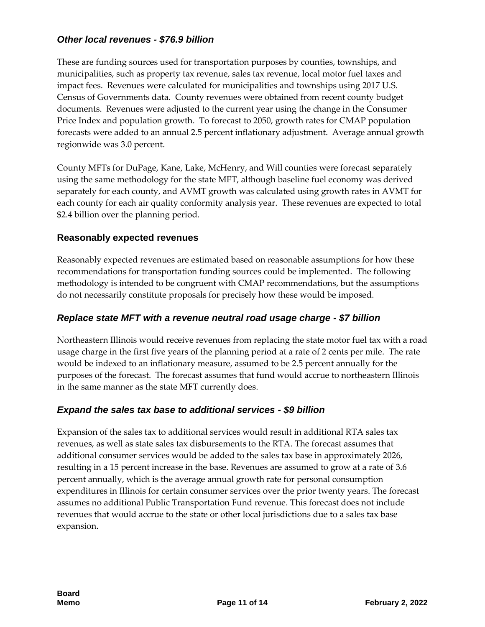#### *Other local revenues - \$76.9 billion*

These are funding sources used for transportation purposes by counties, townships, and municipalities, such as property tax revenue, sales tax revenue, local motor fuel taxes and impact fees. Revenues were calculated for municipalities and townships using 2017 U.S. Census of Governments data. County revenues were obtained from recent county budget documents. Revenues were adjusted to the current year using the change in the Consumer Price Index and population growth. To forecast to 2050, growth rates for CMAP population forecasts were added to an annual 2.5 percent inflationary adjustment. Average annual growth regionwide was 3.0 percent.

County MFTs for DuPage, Kane, Lake, McHenry, and Will counties were forecast separately using the same methodology for the state MFT, although baseline fuel economy was derived separately for each county, and AVMT growth was calculated using growth rates in AVMT for each county for each air quality conformity analysis year. These revenues are expected to total \$2.4 billion over the planning period.

#### **Reasonably expected revenues**

Reasonably expected revenues are estimated based on reasonable assumptions for how these recommendations for transportation funding sources could be implemented. The following methodology is intended to be congruent with CMAP recommendations, but the assumptions do not necessarily constitute proposals for precisely how these would be imposed.

#### *Replace state MFT with a revenue neutral road usage charge - \$7 billion*

Northeastern Illinois would receive revenues from replacing the state motor fuel tax with a road usage charge in the first five years of the planning period at a rate of 2 cents per mile. The rate would be indexed to an inflationary measure, assumed to be 2.5 percent annually for the purposes of the forecast. The forecast assumes that fund would accrue to northeastern Illinois in the same manner as the state MFT currently does.

#### *Expand the sales tax base to additional services - \$9 billion*

Expansion of the sales tax to additional services would result in additional RTA sales tax revenues, as well as state sales tax disbursements to the RTA. The forecast assumes that additional consumer services would be added to the sales tax base in approximately 2026, resulting in a 15 percent increase in the base. Revenues are assumed to grow at a rate of 3.6 percent annually, which is the average annual growth rate for personal consumption expenditures in Illinois for certain consumer services over the prior twenty years. The forecast assumes no additional Public Transportation Fund revenue. This forecast does not include revenues that would accrue to the state or other local jurisdictions due to a sales tax base expansion.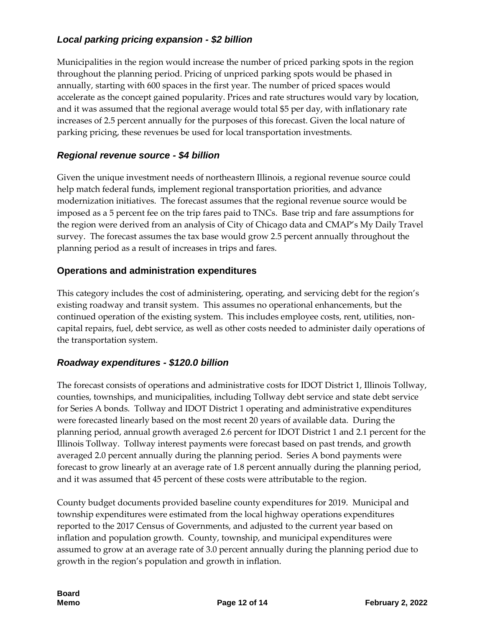## *Local parking pricing expansion - \$2 billion*

Municipalities in the region would increase the number of priced parking spots in the region throughout the planning period. Pricing of unpriced parking spots would be phased in annually, starting with 600 spaces in the first year. The number of priced spaces would accelerate as the concept gained popularity. Prices and rate structures would vary by location, and it was assumed that the regional average would total \$5 per day, with inflationary rate increases of 2.5 percent annually for the purposes of this forecast. Given the local nature of parking pricing, these revenues be used for local transportation investments.

#### *Regional revenue source - \$4 billion*

Given the unique investment needs of northeastern Illinois, a regional revenue source could help match federal funds, implement regional transportation priorities, and advance modernization initiatives. The forecast assumes that the regional revenue source would be imposed as a 5 percent fee on the trip fares paid to TNCs. Base trip and fare assumptions for the region were derived from an analysis of City of Chicago data and CMAP's My Daily Travel survey. The forecast assumes the tax base would grow 2.5 percent annually throughout the planning period as a result of increases in trips and fares.

#### **Operations and administration expenditures**

This category includes the cost of administering, operating, and servicing debt for the region's existing roadway and transit system. This assumes no operational enhancements, but the continued operation of the existing system. This includes employee costs, rent, utilities, noncapital repairs, fuel, debt service, as well as other costs needed to administer daily operations of the transportation system.

#### *Roadway expenditures - \$120.0 billion*

The forecast consists of operations and administrative costs for IDOT District 1, Illinois Tollway, counties, townships, and municipalities, including Tollway debt service and state debt service for Series A bonds. Tollway and IDOT District 1 operating and administrative expenditures were forecasted linearly based on the most recent 20 years of available data. During the planning period, annual growth averaged 2.6 percent for IDOT District 1 and 2.1 percent for the Illinois Tollway. Tollway interest payments were forecast based on past trends, and growth averaged 2.0 percent annually during the planning period. Series A bond payments were forecast to grow linearly at an average rate of 1.8 percent annually during the planning period, and it was assumed that 45 percent of these costs were attributable to the region.

County budget documents provided baseline county expenditures for 2019. Municipal and township expenditures were estimated from the local highway operations expenditures reported to the 2017 Census of Governments, and adjusted to the current year based on inflation and population growth. County, township, and municipal expenditures were assumed to grow at an average rate of 3.0 percent annually during the planning period due to growth in the region's population and growth in inflation.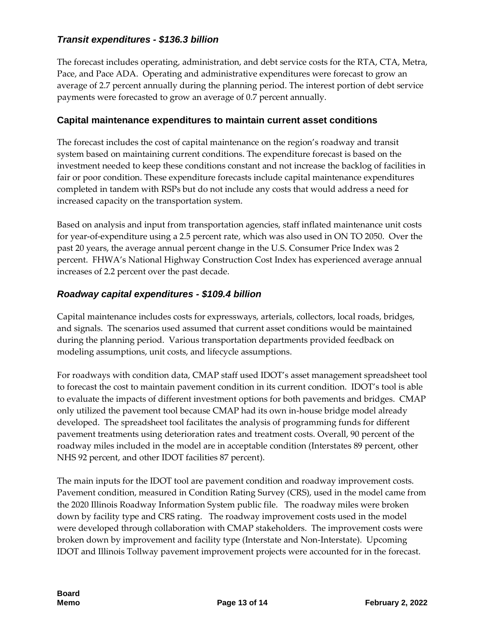## *Transit expenditures - \$136.3 billion*

The forecast includes operating, administration, and debt service costs for the RTA, CTA, Metra, Pace, and Pace ADA. Operating and administrative expenditures were forecast to grow an average of 2.7 percent annually during the planning period. The interest portion of debt service payments were forecasted to grow an average of 0.7 percent annually.

#### **Capital maintenance expenditures to maintain current asset conditions**

The forecast includes the cost of capital maintenance on the region's roadway and transit system based on maintaining current conditions. The expenditure forecast is based on the investment needed to keep these conditions constant and not increase the backlog of facilities in fair or poor condition. These expenditure forecasts include capital maintenance expenditures completed in tandem with RSPs but do not include any costs that would address a need for increased capacity on the transportation system.

Based on analysis and input from transportation agencies, staff inflated maintenance unit costs for year-of-expenditure using a 2.5 percent rate, which was also used in ON TO 2050. Over the past 20 years, the average annual percent change in the U.S. Consumer Price Index was 2 percent. FHWA's National Highway Construction Cost Index has experienced average annual increases of 2.2 percent over the past decade.

## *Roadway capital expenditures - \$109.4 billion*

Capital maintenance includes costs for expressways, arterials, collectors, local roads, bridges, and signals. The scenarios used assumed that current asset conditions would be maintained during the planning period. Various transportation departments provided feedback on modeling assumptions, unit costs, and lifecycle assumptions.

For roadways with condition data, CMAP staff used IDOT's asset management spreadsheet tool to forecast the cost to maintain pavement condition in its current condition. IDOT's tool is able to evaluate the impacts of different investment options for both pavements and bridges. CMAP only utilized the pavement tool because CMAP had its own in-house bridge model already developed. The spreadsheet tool facilitates the analysis of programming funds for different pavement treatments using deterioration rates and treatment costs. Overall, 90 percent of the roadway miles included in the model are in acceptable condition (Interstates 89 percent, other NHS 92 percent, and other IDOT facilities 87 percent).

The main inputs for the IDOT tool are pavement condition and roadway improvement costs. Pavement condition, measured in Condition Rating Survey (CRS), used in the model came from the 2020 Illinois Roadway Information System public file. The roadway miles were broken down by facility type and CRS rating. The roadway improvement costs used in the model were developed through collaboration with CMAP stakeholders. The improvement costs were broken down by improvement and facility type (Interstate and Non-Interstate). Upcoming IDOT and Illinois Tollway pavement improvement projects were accounted for in the forecast.